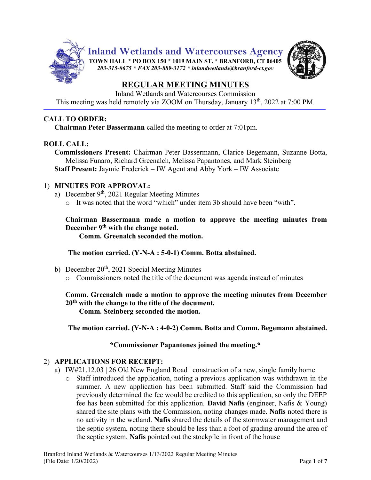

Inland Wetlands and Watercourses Commission This meeting was held remotely via ZOOM on Thursday, January 13<sup>th</sup>, 2022 at 7:00 PM.

# **CALL TO ORDER:**

**Chairman Peter Bassermann** called the meeting to order at 7:01pm.

# **ROLL CALL:**

**Commissioners Present:** Chairman Peter Bassermann, Clarice Begemann, Suzanne Botta, Melissa Funaro, Richard Greenalch, Melissa Papantones, and Mark Steinberg **Staff Present:** Jaymie Frederick – IW Agent and Abby York – IW Associate

# 1) **MINUTES FOR APPROVAL:**

- a) December 9<sup>th</sup>, 2021 Regular Meeting Minutes
	- o It was noted that the word "which" under item 3b should have been "with".

**Chairman Bassermann made a motion to approve the meeting minutes from December 9th with the change noted.**

**Comm. Greenalch seconded the motion.**

**The motion carried. (Y-N-A : 5-0-1) Comm. Botta abstained.**

- b) December  $20<sup>th</sup>$ , 2021 Special Meeting Minutes
	- o Commissioners noted the title of the document was agenda instead of minutes

**Comm. Greenalch made a motion to approve the meeting minutes from December 20th with the change to the title of the document. Comm. Steinberg seconded the motion.**

**The motion carried. (Y-N-A : 4-0-2) Comm. Botta and Comm. Begemann abstained.**

# **\*Commissioner Papantones joined the meeting.\***

# 2) **APPLICATIONS FOR RECEIPT:**

- a) IW#21.12.03 | 26 Old New England Road | construction of a new, single family home
	- o Staff introduced the application, noting a previous application was withdrawn in the summer. A new application has been submitted. Staff said the Commission had previously determined the fee would be credited to this application, so only the DEEP fee has been submitted for this application. **David Nafis** (engineer, Nafis & Young) shared the site plans with the Commission, noting changes made. **Nafis** noted there is no activity in the wetland. **Nafis** shared the details of the stormwater management and the septic system, noting there should be less than a foot of grading around the area of the septic system. **Nafis** pointed out the stockpile in front of the house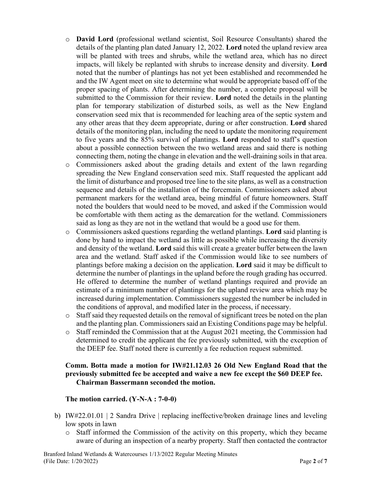- o **David Lord** (professional wetland scientist, Soil Resource Consultants) shared the details of the planting plan dated January 12, 2022. **Lord** noted the upland review area will be planted with trees and shrubs, while the wetland area, which has no direct impacts, will likely be replanted with shrubs to increase density and diversity. **Lord** noted that the number of plantings has not yet been established and recommended he and the IW Agent meet on site to determine what would be appropriate based off of the proper spacing of plants. After determining the number, a complete proposal will be submitted to the Commission for their review. **Lord** noted the details in the planting plan for temporary stabilization of disturbed soils, as well as the New England conservation seed mix that is recommended for leaching area of the septic system and any other areas that they deem appropriate, during or after construction. **Lord** shared details of the monitoring plan, including the need to update the monitoring requirement to five years and the 85% survival of plantings. **Lord** responded to staff's question about a possible connection between the two wetland areas and said there is nothing connecting them, noting the change in elevation and the well-draining soils in that area.
- o Commissioners asked about the grading details and extent of the lawn regarding spreading the New England conservation seed mix. Staff requested the applicant add the limit of disturbance and proposed tree line to the site plans, as well as a construction sequence and details of the installation of the forcemain. Commissioners asked about permanent markers for the wetland area, being mindful of future homeowners. Staff noted the boulders that would need to be moved, and asked if the Commission would be comfortable with them acting as the demarcation for the wetland. Commissioners said as long as they are not in the wetland that would be a good use for them.
- o Commissioners asked questions regarding the wetland plantings. **Lord** said planting is done by hand to impact the wetland as little as possible while increasing the diversity and density of the wetland. **Lord** said this will create a greater buffer between the lawn area and the wetland. Staff asked if the Commission would like to see numbers of plantings before making a decision on the application. **Lord** said it may be difficult to determine the number of plantings in the upland before the rough grading has occurred. He offered to determine the number of wetland plantings required and provide an estimate of a minimum number of plantings for the upland review area which may be increased during implementation. Commissioners suggested the number be included in the conditions of approval, and modified later in the process, if necessary.
- o Staff said they requested details on the removal of significant trees be noted on the plan and the planting plan. Commissioners said an Existing Conditions page may be helpful.
- o Staff reminded the Commission that at the August 2021 meeting, the Commission had determined to credit the applicant the fee previously submitted, with the exception of the DEEP fee. Staff noted there is currently a fee reduction request submitted.

## **Comm. Botta made a motion for IW#21.12.03 26 Old New England Road that the previously submitted fee be accepted and waive a new fee except the \$60 DEEP fee. Chairman Bassermann seconded the motion.**

## **The motion carried. (Y-N-A : 7-0-0)**

- b) IW#22.01.01 | 2 Sandra Drive | replacing ineffective/broken drainage lines and leveling low spots in lawn
	- o Staff informed the Commission of the activity on this property, which they became aware of during an inspection of a nearby property. Staff then contacted the contractor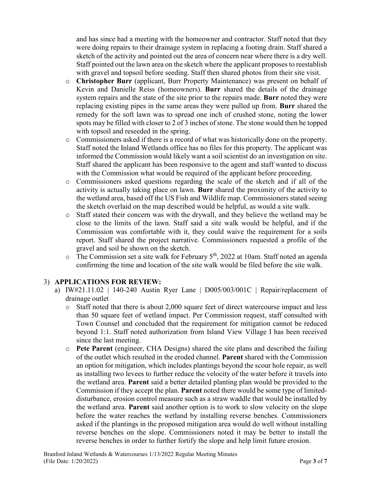and has since had a meeting with the homeowner and contractor. Staff noted that they were doing repairs to their drainage system in replacing a footing drain. Staff shared a sketch of the activity and pointed out the area of concern near where there is a dry well. Staff pointed out the lawn area on the sketch where the applicant proposes to reestablish with gravel and topsoil before seeding. Staff then shared photos from their site visit.

- o **Christopher Burr** (applicant, Burr Property Maintenance) was present on behalf of Kevin and Danielle Reiss (homeowners). **Burr** shared the details of the drainage system repairs and the state of the site prior to the repairs made. **Burr** noted they were replacing existing pipes in the same areas they were pulled up from. **Burr** shared the remedy for the soft lawn was to spread one inch of crushed stone, noting the lower spots may be filled with closer to 2 of 3 inches of stone. The stone would then be topped with topsoil and reseeded in the spring.
- o Commissioners asked if there is a record of what was historically done on the property. Staff noted the Inland Wetlands office has no files for this property. The applicant was informed the Commission would likely want a soil scientist do an investigation on site. Staff shared the applicant has been responsive to the agent and staff wanted to discuss with the Commission what would be required of the applicant before proceeding.
- o Commissioners asked questions regarding the scale of the sketch and if all of the activity is actually taking place on lawn. **Burr** shared the proximity of the activity to the wetland area, based off the US Fish and Wildlife map. Commissioners stated seeing the sketch overlaid on the map described would be helpful, as would a site walk.
- o Staff stated their concern was with the drywall, and they believe the wetland may be close to the limits of the lawn. Staff said a site walk would be helpful, and if the Commission was comfortable with it, they could waive the requirement for a soils report. Staff shared the project narrative. Commissioners requested a profile of the gravel and soil be shown on the sketch.
- $\circ$  The Commission set a site walk for February 5<sup>th</sup>, 2022 at 10am. Staff noted an agenda confirming the time and location of the site walk would be filed before the site walk.

# 3) **APPLICATIONS FOR REVIEW:**

- a) IW#21.11.02 | 140-240 Austin Ryer Lane |  $D005/003/001C$  | Repair/replacement of drainage outlet
	- o Staff noted that there is about 2,000 square feet of direct watercourse impact and less than 50 square feet of wetland impact. Per Commission request, staff consulted with Town Counsel and concluded that the requirement for mitigation cannot be reduced beyond 1:1. Staff noted authorization from Island View Village I has been received since the last meeting.
	- o **Pete Parent** (engineer, CHA Designs) shared the site plans and described the failing of the outlet which resulted in the eroded channel. **Parent** shared with the Commission an option for mitigation, which includes plantings beyond the scour hole repair, as well as installing two levees to further reduce the velocity of the water before it travels into the wetland area. **Parent** said a better detailed planting plan would be provided to the Commission if they accept the plan. **Parent** noted there would be some type of limiteddisturbance, erosion control measure such as a straw waddle that would be installed by the wetland area. **Parent** said another option is to work to slow velocity on the slope before the water reaches the wetland by installing reverse benches. Commissioners asked if the plantings in the proposed mitigation area would do well without installing reverse benches on the slope. Commissioners noted it may be better to install the reverse benches in order to further fortify the slope and help limit future erosion.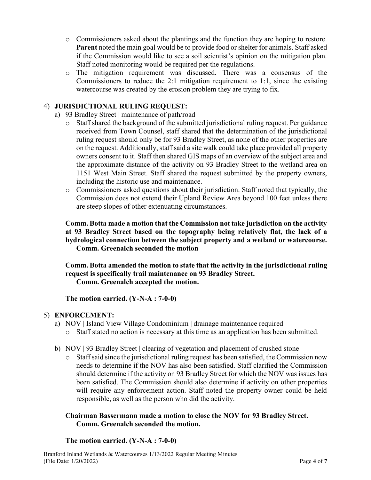- o Commissioners asked about the plantings and the function they are hoping to restore. **Parent** noted the main goal would be to provide food or shelter for animals. Staff asked if the Commission would like to see a soil scientist's opinion on the mitigation plan. Staff noted monitoring would be required per the regulations.
- o The mitigation requirement was discussed. There was a consensus of the Commissioners to reduce the 2:1 mitigation requirement to 1:1, since the existing watercourse was created by the erosion problem they are trying to fix.

# 4) **JURISDICTIONAL RULING REQUEST:**

- a) 93 Bradley Street | maintenance of path/road
	- o Staff shared the background of the submitted jurisdictional ruling request. Per guidance received from Town Counsel, staff shared that the determination of the jurisdictional ruling request should only be for 93 Bradley Street, as none of the other properties are on the request. Additionally, staff said a site walk could take place provided all property owners consent to it. Staff then shared GIS maps of an overview of the subject area and the approximate distance of the activity on 93 Bradley Street to the wetland area on 1151 West Main Street. Staff shared the request submitted by the property owners, including the historic use and maintenance.
	- o Commissioners asked questions about their jurisdiction. Staff noted that typically, the Commission does not extend their Upland Review Area beyond 100 feet unless there are steep slopes of other extenuating circumstances.

# **Comm. Botta made a motion that the Commission not take jurisdiction on the activity at 93 Bradley Street based on the topography being relatively flat, the lack of a hydrological connection between the subject property and a wetland or watercourse. Comm. Greenalch seconded the motion**

**Comm. Botta amended the motion to state that the activity in the jurisdictional ruling request is specifically trail maintenance on 93 Bradley Street. Comm. Greenalch accepted the motion.**

**The motion carried. (Y-N-A : 7-0-0)**

# 5) **ENFORCEMENT:**

- a) NOV | Island View Village Condominium | drainage maintenance required
	- o Staff stated no action is necessary at this time as an application has been submitted.
- b) NOV | 93 Bradley Street | clearing of vegetation and placement of crushed stone
	- o Staff said since the jurisdictional ruling request has been satisfied, the Commission now needs to determine if the NOV has also been satisfied. Staff clarified the Commission should determine if the activity on 93 Bradley Street for which the NOV was issues has been satisfied. The Commission should also determine if activity on other properties will require any enforcement action. Staff noted the property owner could be held responsible, as well as the person who did the activity.

# **Chairman Bassermann made a motion to close the NOV for 93 Bradley Street. Comm. Greenalch seconded the motion.**

## **The motion carried. (Y-N-A : 7-0-0)**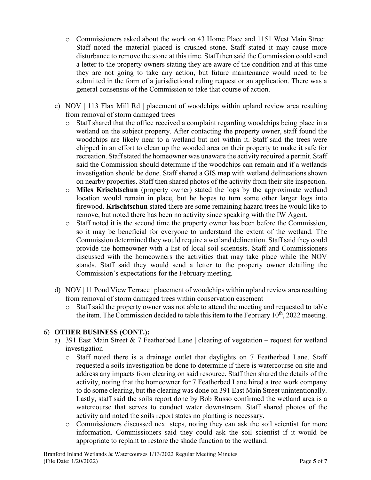- o Commissioners asked about the work on 43 Home Place and 1151 West Main Street. Staff noted the material placed is crushed stone. Staff stated it may cause more disturbance to remove the stone at this time. Staff then said the Commission could send a letter to the property owners stating they are aware of the condition and at this time they are not going to take any action, but future maintenance would need to be submitted in the form of a jurisdictional ruling request or an application. There was a general consensus of the Commission to take that course of action.
- c) NOV | 113 Flax Mill Rd | placement of woodchips within upland review area resulting from removal of storm damaged trees
	- o Staff shared that the office received a complaint regarding woodchips being place in a wetland on the subject property. After contacting the property owner, staff found the woodchips are likely near to a wetland but not within it. Staff said the trees were chipped in an effort to clean up the wooded area on their property to make it safe for recreation. Staff stated the homeowner was unaware the activity required a permit. Staff said the Commission should determine if the woodchips can remain and if a wetlands investigation should be done. Staff shared a GIS map with wetland delineations shown on nearby properties. Staff then shared photos of the activity from their site inspection.
	- o **Miles Krischtschun** (property owner) stated the logs by the approximate wetland location would remain in place, but he hopes to turn some other larger logs into firewood. **Krischtschun** stated there are some remaining hazard trees he would like to remove, but noted there has been no activity since speaking with the IW Agent.
	- o Staff noted it is the second time the property owner has been before the Commission, so it may be beneficial for everyone to understand the extent of the wetland. The Commission determined they would require a wetland delineation. Staff said they could provide the homeowner with a list of local soil scientists. Staff and Commissioners discussed with the homeowners the activities that may take place while the NOV stands. Staff said they would send a letter to the property owner detailing the Commission's expectations for the February meeting.
- d) NOV | 11 Pond View Terrace | placement of woodchips within upland review area resulting from removal of storm damaged trees within conservation easement
	- o Staff said the property owner was not able to attend the meeting and requested to table the item. The Commission decided to table this item to the February  $10^{th}$ , 2022 meeting.

# 6) **OTHER BUSINESS (CONT.):**

- a) 391 East Main Street & 7 Featherbed Lane | clearing of vegetation request for wetland investigation
	- o Staff noted there is a drainage outlet that daylights on 7 Featherbed Lane. Staff requested a soils investigation be done to determine if there is watercourse on site and address any impacts from clearing on said resource. Staff then shared the details of the activity, noting that the homeowner for 7 Featherbed Lane hired a tree work company to do some clearing, but the clearing was done on 391 East Main Street unintentionally. Lastly, staff said the soils report done by Bob Russo confirmed the wetland area is a watercourse that serves to conduct water downstream. Staff shared photos of the activity and noted the soils report states no planting is necessary.
	- o Commissioners discussed next steps, noting they can ask the soil scientist for more information. Commissioners said they could ask the soil scientist if it would be appropriate to replant to restore the shade function to the wetland.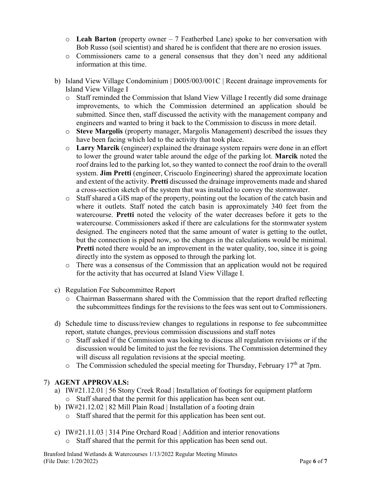- o **Leah Barton** (property owner 7 Featherbed Lane) spoke to her conversation with Bob Russo (soil scientist) and shared he is confident that there are no erosion issues.
- o Commissioners came to a general consensus that they don't need any additional information at this time.
- b) Island View Village Condominium | D005/003/001C | Recent drainage improvements for Island View Village I
	- o Staff reminded the Commission that Island View Village I recently did some drainage improvements, to which the Commission determined an application should be submitted. Since then, staff discussed the activity with the management company and engineers and wanted to bring it back to the Commission to discuss in more detail.
	- o **Steve Margolis** (property manager, Margolis Management) described the issues they have been facing which led to the activity that took place.
	- o **Larry Marcik** (engineer) explained the drainage system repairs were done in an effort to lower the ground water table around the edge of the parking lot. **Marcik** noted the roof drains led to the parking lot, so they wanted to connect the roof drain to the overall system. **Jim Pretti** (engineer, Criscuolo Engineering) shared the approximate location and extent of the activity. **Pretti** discussed the drainage improvements made and shared a cross-section sketch of the system that was installed to convey the stormwater.
	- o Staff shared a GIS map of the property, pointing out the location of the catch basin and where it outlets. Staff noted the catch basin is approximately 340 feet from the watercourse. **Pretti** noted the velocity of the water decreases before it gets to the watercourse. Commissioners asked if there are calculations for the stormwater system designed. The engineers noted that the same amount of water is getting to the outlet, but the connection is piped now, so the changes in the calculations would be minimal. **Pretti** noted there would be an improvement in the water quality, too, since it is going directly into the system as opposed to through the parking lot.
	- o There was a consensus of the Commission that an application would not be required for the activity that has occurred at Island View Village I.
- c) Regulation Fee Subcommittee Report
	- o Chairman Bassermann shared with the Commission that the report drafted reflecting the subcommittees findings for the revisions to the fees was sent out to Commissioners.
- d) Schedule time to discuss/review changes to regulations in response to fee subcommittee report, statute changes, previous commission discussions and staff notes
	- o Staff asked if the Commission was looking to discuss all regulation revisions or if the discussion would be limited to just the fee revisions. The Commission determined they will discuss all regulation revisions at the special meeting.
	- $\circ$  The Commission scheduled the special meeting for Thursday, February 17<sup>th</sup> at 7pm.

# 7) **AGENT APPROVALS:**

- a) IW#21.12.01 | 56 Stony Creek Road | Installation of footings for equipment platform o Staff shared that the permit for this application has been sent out.
- b) IW#21.12.02 | 82 Mill Plain Road | Installation of a footing drain
	- o Staff shared that the permit for this application has been sent out.
- c) IW#21.11.03 | 314 Pine Orchard Road | Addition and interior renovations
	- o Staff shared that the permit for this application has been send out.